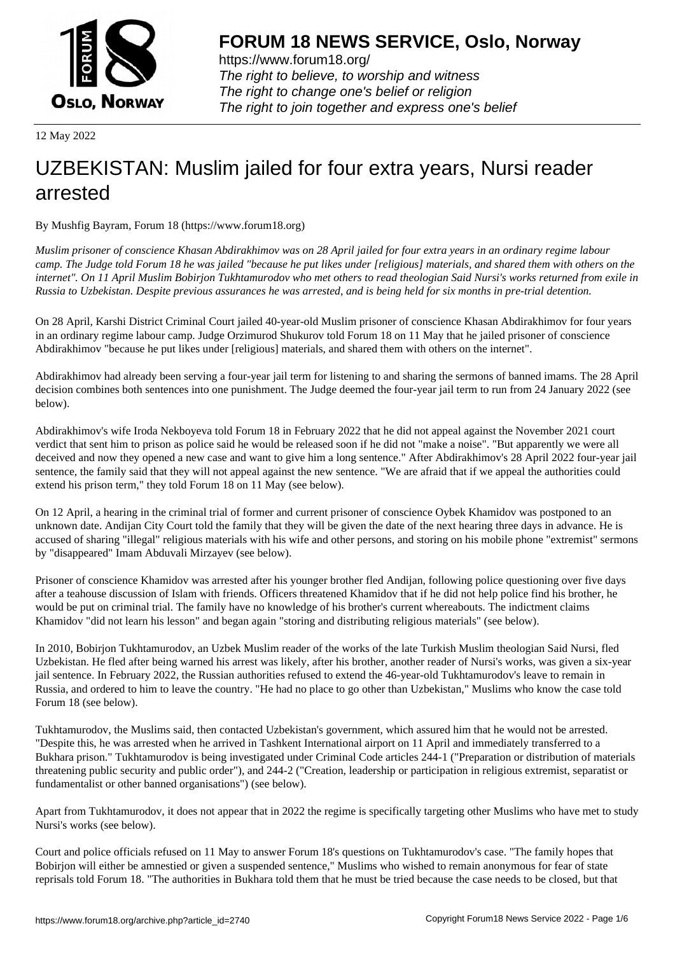

https://www.forum18.org/ The right to believe, to worship and witness The right to change one's belief or religion [The right to join together a](https://www.forum18.org/)nd express one's belief

12 May 2022

## [UZBEKISTAN:](https://www.forum18.org) Muslim jailed for four extra years, Nursi reader arrested

By Mushfig Bayram, Forum 18 (https://www.forum18.org)

*Muslim prisoner of conscience Khasan Abdirakhimov was on 28 April jailed for four extra years in an ordinary regime labour camp. The Judge told Forum 18 he was jailed "because he put likes under [religious] materials, and shared them with others on the internet". On 11 April Muslim Bobirjon Tukhtamurodov who met others to read theologian Said Nursi's works returned from exile in Russia to Uzbekistan. Despite previous assurances he was arrested, and is being held for six months in pre-trial detention.*

On 28 April, Karshi District Criminal Court jailed 40-year-old Muslim prisoner of conscience Khasan Abdirakhimov for four years in an ordinary regime labour camp. Judge Orzimurod Shukurov told Forum 18 on 11 May that he jailed prisoner of conscience Abdirakhimov "because he put likes under [religious] materials, and shared them with others on the internet".

Abdirakhimov had already been serving a four-year jail term for listening to and sharing the sermons of banned imams. The 28 April decision combines both sentences into one punishment. The Judge deemed the four-year jail term to run from 24 January 2022 (see below).

Abdirakhimov's wife Iroda Nekboyeva told Forum 18 in February 2022 that he did not appeal against the November 2021 court verdict that sent him to prison as police said he would be released soon if he did not "make a noise". "But apparently we were all deceived and now they opened a new case and want to give him a long sentence." After Abdirakhimov's 28 April 2022 four-year jail sentence, the family said that they will not appeal against the new sentence. "We are afraid that if we appeal the authorities could extend his prison term," they told Forum 18 on 11 May (see below).

On 12 April, a hearing in the criminal trial of former and current prisoner of conscience Oybek Khamidov was postponed to an unknown date. Andijan City Court told the family that they will be given the date of the next hearing three days in advance. He is accused of sharing "illegal" religious materials with his wife and other persons, and storing on his mobile phone "extremist" sermons by "disappeared" Imam Abduvali Mirzayev (see below).

Prisoner of conscience Khamidov was arrested after his younger brother fled Andijan, following police questioning over five days after a teahouse discussion of Islam with friends. Officers threatened Khamidov that if he did not help police find his brother, he would be put on criminal trial. The family have no knowledge of his brother's current whereabouts. The indictment claims Khamidov "did not learn his lesson" and began again "storing and distributing religious materials" (see below).

In 2010, Bobirjon Tukhtamurodov, an Uzbek Muslim reader of the works of the late Turkish Muslim theologian Said Nursi, fled Uzbekistan. He fled after being warned his arrest was likely, after his brother, another reader of Nursi's works, was given a six-year jail sentence. In February 2022, the Russian authorities refused to extend the 46-year-old Tukhtamurodov's leave to remain in Russia, and ordered to him to leave the country. "He had no place to go other than Uzbekistan," Muslims who know the case told Forum 18 (see below).

Tukhtamurodov, the Muslims said, then contacted Uzbekistan's government, which assured him that he would not be arrested. "Despite this, he was arrested when he arrived in Tashkent International airport on 11 April and immediately transferred to a Bukhara prison." Tukhtamurodov is being investigated under Criminal Code articles 244-1 ("Preparation or distribution of materials threatening public security and public order"), and 244-2 ("Creation, leadership or participation in religious extremist, separatist or fundamentalist or other banned organisations") (see below).

Apart from Tukhtamurodov, it does not appear that in 2022 the regime is specifically targeting other Muslims who have met to study Nursi's works (see below).

Court and police officials refused on 11 May to answer Forum 18's questions on Tukhtamurodov's case. "The family hopes that Bobirjon will either be amnestied or given a suspended sentence," Muslims who wished to remain anonymous for fear of state reprisals told Forum 18. "The authorities in Bukhara told them that he must be tried because the case needs to be closed, but that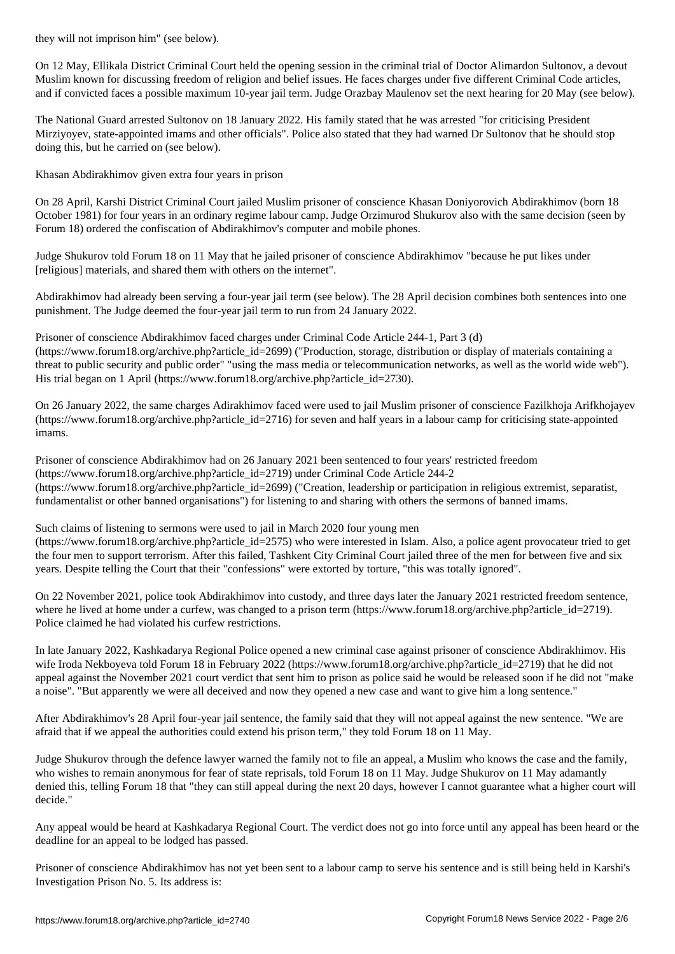On 12 May, Ellikala District Criminal Court held the opening session in the criminal trial of Doctor Alimardon Sultonov, a devout Muslim known for discussing freedom of religion and belief issues. He faces charges under five different Criminal Code articles, and if convicted faces a possible maximum 10-year jail term. Judge Orazbay Maulenov set the next hearing for 20 May (see below).

The National Guard arrested Sultonov on 18 January 2022. His family stated that he was arrested "for criticising President Mirziyoyev, state-appointed imams and other officials". Police also stated that they had warned Dr Sultonov that he should stop doing this, but he carried on (see below).

Khasan Abdirakhimov given extra four years in prison

On 28 April, Karshi District Criminal Court jailed Muslim prisoner of conscience Khasan Doniyorovich Abdirakhimov (born 18 October 1981) for four years in an ordinary regime labour camp. Judge Orzimurod Shukurov also with the same decision (seen by Forum 18) ordered the confiscation of Abdirakhimov's computer and mobile phones.

Judge Shukurov told Forum 18 on 11 May that he jailed prisoner of conscience Abdirakhimov "because he put likes under [religious] materials, and shared them with others on the internet".

Abdirakhimov had already been serving a four-year jail term (see below). The 28 April decision combines both sentences into one punishment. The Judge deemed the four-year jail term to run from 24 January 2022.

Prisoner of conscience Abdirakhimov faced charges under Criminal Code Article 244-1, Part 3 (d) (https://www.forum18.org/archive.php?article\_id=2699) ("Production, storage, distribution or display of materials containing a threat to public security and public order" "using the mass media or telecommunication networks, as well as the world wide web"). His trial began on 1 April (https://www.forum18.org/archive.php?article\_id=2730).

On 26 January 2022, the same charges Adirakhimov faced were used to jail Muslim prisoner of conscience Fazilkhoja Arifkhojayev (https://www.forum18.org/archive.php?article\_id=2716) for seven and half years in a labour camp for criticising state-appointed imams.

Prisoner of conscience Abdirakhimov had on 26 January 2021 been sentenced to four years' restricted freedom (https://www.forum18.org/archive.php?article\_id=2719) under Criminal Code Article 244-2 (https://www.forum18.org/archive.php?article\_id=2699) ("Creation, leadership or participation in religious extremist, separatist, fundamentalist or other banned organisations") for listening to and sharing with others the sermons of banned imams.

Such claims of listening to sermons were used to jail in March 2020 four young men (https://www.forum18.org/archive.php?article\_id=2575) who were interested in Islam. Also, a police agent provocateur tried to get the four men to support terrorism. After this failed, Tashkent City Criminal Court jailed three of the men for between five and six years. Despite telling the Court that their "confessions" were extorted by torture, "this was totally ignored".

On 22 November 2021, police took Abdirakhimov into custody, and three days later the January 2021 restricted freedom sentence, where he lived at home under a curfew, was changed to a prison term (https://www.forum18.org/archive.php?article\_id=2719). Police claimed he had violated his curfew restrictions.

In late January 2022, Kashkadarya Regional Police opened a new criminal case against prisoner of conscience Abdirakhimov. His wife Iroda Nekboyeva told Forum 18 in February 2022 (https://www.forum18.org/archive.php?article\_id=2719) that he did not appeal against the November 2021 court verdict that sent him to prison as police said he would be released soon if he did not "make a noise". "But apparently we were all deceived and now they opened a new case and want to give him a long sentence."

After Abdirakhimov's 28 April four-year jail sentence, the family said that they will not appeal against the new sentence. "We are afraid that if we appeal the authorities could extend his prison term," they told Forum 18 on 11 May.

Judge Shukurov through the defence lawyer warned the family not to file an appeal, a Muslim who knows the case and the family, who wishes to remain anonymous for fear of state reprisals, told Forum 18 on 11 May. Judge Shukurov on 11 May adamantly denied this, telling Forum 18 that "they can still appeal during the next 20 days, however I cannot guarantee what a higher court will decide."

Any appeal would be heard at Kashkadarya Regional Court. The verdict does not go into force until any appeal has been heard or the deadline for an appeal to be lodged has passed.

Prisoner of conscience Abdirakhimov has not yet been sent to a labour camp to serve his sentence and is still being held in Karshi's Investigation Prison No. 5. Its address is: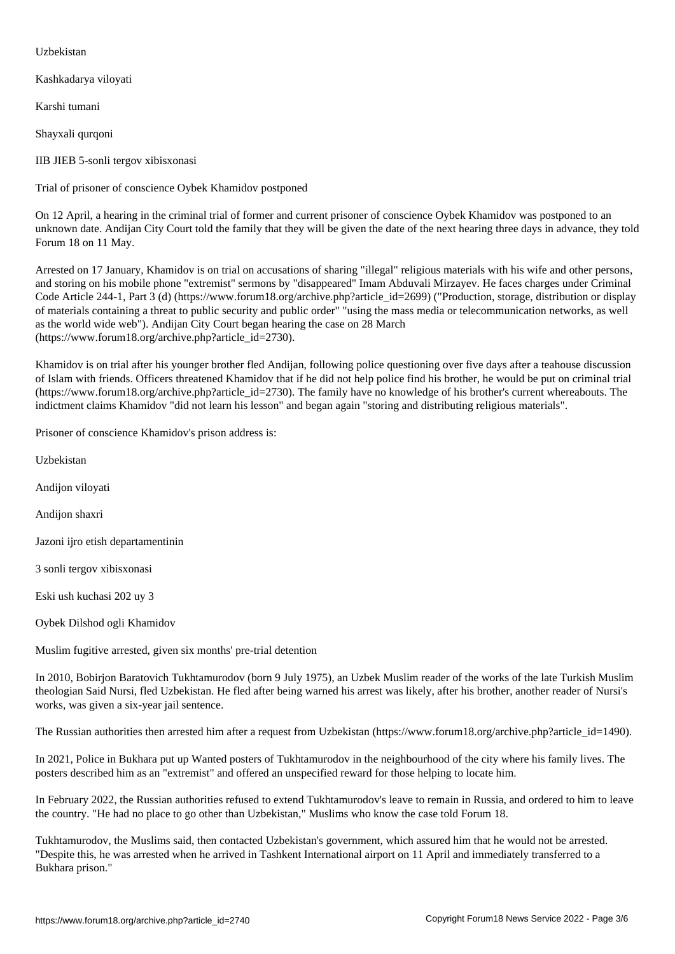Kashkadarya viloyati

Karshi tumani

Shayxali qurqoni

IIB JIEB 5-sonli tergov xibisxonasi

Trial of prisoner of conscience Oybek Khamidov postponed

On 12 April, a hearing in the criminal trial of former and current prisoner of conscience Oybek Khamidov was postponed to an unknown date. Andijan City Court told the family that they will be given the date of the next hearing three days in advance, they told Forum 18 on 11 May.

Arrested on 17 January, Khamidov is on trial on accusations of sharing "illegal" religious materials with his wife and other persons, and storing on his mobile phone "extremist" sermons by "disappeared" Imam Abduvali Mirzayev. He faces charges under Criminal Code Article 244-1, Part 3 (d) (https://www.forum18.org/archive.php?article\_id=2699) ("Production, storage, distribution or display of materials containing a threat to public security and public order" "using the mass media or telecommunication networks, as well as the world wide web"). Andijan City Court began hearing the case on 28 March (https://www.forum18.org/archive.php?article\_id=2730).

Khamidov is on trial after his younger brother fled Andijan, following police questioning over five days after a teahouse discussion of Islam with friends. Officers threatened Khamidov that if he did not help police find his brother, he would be put on criminal trial  $(\text{https://www.forum18.org/architecture.php?article id=2730).}$  The family have no knowledge of his brother's current whereabouts. The indictment claims Khamidov "did not learn his lesson" and began again "storing and distributing religious materials".

Prisoner of conscience Khamidov's prison address is:

Uzbekistan

Andijon viloyati

Andijon shaxri

Jazoni ijro etish departamentinin

3 sonli tergov xibisxonasi

Eski ush kuchasi 202 uy 3

Oybek Dilshod ogli Khamidov

Muslim fugitive arrested, given six months' pre-trial detention

In 2010, Bobirjon Baratovich Tukhtamurodov (born 9 July 1975), an Uzbek Muslim reader of the works of the late Turkish Muslim theologian Said Nursi, fled Uzbekistan. He fled after being warned his arrest was likely, after his brother, another reader of Nursi's works, was given a six-year jail sentence.

The Russian authorities then arrested him after a request from Uzbekistan (https://www.forum18.org/archive.php?article\_id=1490).

In 2021, Police in Bukhara put up Wanted posters of Tukhtamurodov in the neighbourhood of the city where his family lives. The posters described him as an "extremist" and offered an unspecified reward for those helping to locate him.

In February 2022, the Russian authorities refused to extend Tukhtamurodov's leave to remain in Russia, and ordered to him to leave the country. "He had no place to go other than Uzbekistan," Muslims who know the case told Forum 18.

Tukhtamurodov, the Muslims said, then contacted Uzbekistan's government, which assured him that he would not be arrested. "Despite this, he was arrested when he arrived in Tashkent International airport on 11 April and immediately transferred to a Bukhara prison."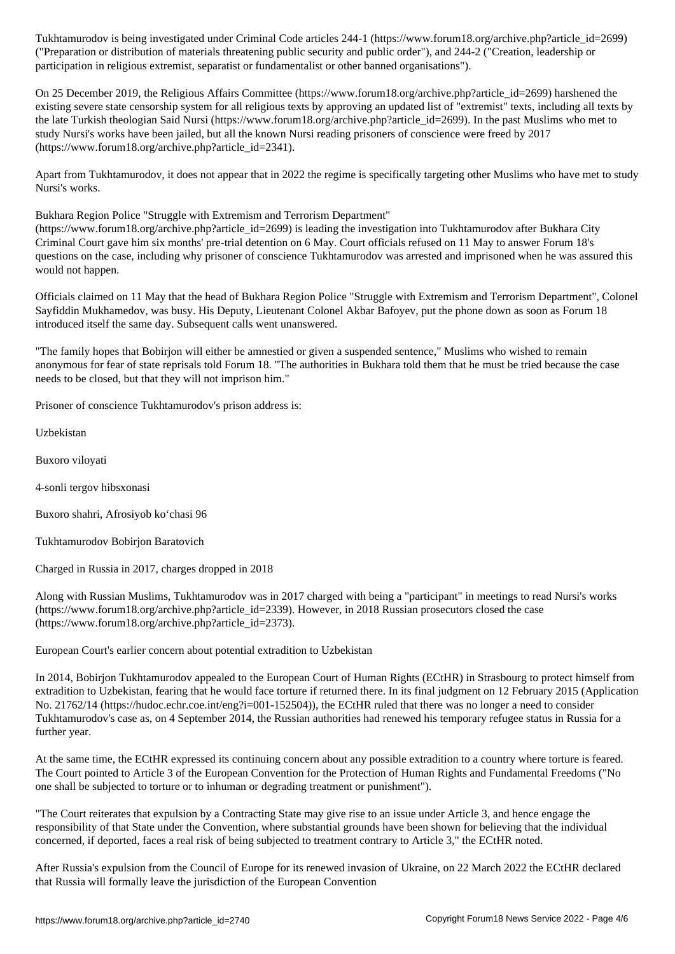("Preparation of materials threatening public security and public order  $\mu$  and  $\mu$   $\mu$   $\mu$   $\mu$ participation in religious extremist, separatist or fundamentalist or other banned organisations").

On 25 December 2019, the Religious Affairs Committee (https://www.forum18.org/archive.php?article\_id=2699) harshened the existing severe state censorship system for all religious texts by approving an updated list of "extremist" texts, including all texts by the late Turkish theologian Said Nursi (https://www.forum18.org/archive.php?article\_id=2699). In the past Muslims who met to study Nursi's works have been jailed, but all the known Nursi reading prisoners of conscience were freed by 2017 (https://www.forum18.org/archive.php?article\_id=2341).

Apart from Tukhtamurodov, it does not appear that in 2022 the regime is specifically targeting other Muslims who have met to study Nursi's works.

Bukhara Region Police "Struggle with Extremism and Terrorism Department"

(https://www.forum18.org/archive.php?article\_id=2699) is leading the investigation into Tukhtamurodov after Bukhara City Criminal Court gave him six months' pre-trial detention on 6 May. Court officials refused on 11 May to answer Forum 18's questions on the case, including why prisoner of conscience Tukhtamurodov was arrested and imprisoned when he was assured this would not happen.

Officials claimed on 11 May that the head of Bukhara Region Police "Struggle with Extremism and Terrorism Department", Colonel Sayfiddin Mukhamedov, was busy. His Deputy, Lieutenant Colonel Akbar Bafoyev, put the phone down as soon as Forum 18 introduced itself the same day. Subsequent calls went unanswered.

"The family hopes that Bobirjon will either be amnestied or given a suspended sentence," Muslims who wished to remain anonymous for fear of state reprisals told Forum 18. "The authorities in Bukhara told them that he must be tried because the case needs to be closed, but that they will not imprison him."

Prisoner of conscience Tukhtamurodov's prison address is:

Uzbekistan

Buxoro viloyati

4-sonli tergov hibsxonasi

Buxoro shahri, Afrosiyob ko'chasi 96

Tukhtamurodov Bobirjon Baratovich

Charged in Russia in 2017, charges dropped in 2018

Along with Russian Muslims, Tukhtamurodov was in 2017 charged with being a "participant" in meetings to read Nursi's works (https://www.forum18.org/archive.php?article\_id=2339). However, in 2018 Russian prosecutors closed the case (https://www.forum18.org/archive.php?article\_id=2373).

European Court's earlier concern about potential extradition to Uzbekistan

In 2014, Bobirjon Tukhtamurodov appealed to the European Court of Human Rights (ECtHR) in Strasbourg to protect himself from extradition to Uzbekistan, fearing that he would face torture if returned there. In its final judgment on 12 February 2015 (Application No. 21762/14 (https://hudoc.echr.coe.int/eng?i=001-152504)), the ECtHR ruled that there was no longer a need to consider Tukhtamurodov's case as, on 4 September 2014, the Russian authorities had renewed his temporary refugee status in Russia for a further year.

At the same time, the ECtHR expressed its continuing concern about any possible extradition to a country where torture is feared. The Court pointed to Article 3 of the European Convention for the Protection of Human Rights and Fundamental Freedoms ("No one shall be subjected to torture or to inhuman or degrading treatment or punishment").

"The Court reiterates that expulsion by a Contracting State may give rise to an issue under Article 3, and hence engage the responsibility of that State under the Convention, where substantial grounds have been shown for believing that the individual concerned, if deported, faces a real risk of being subjected to treatment contrary to Article 3," the ECtHR noted.

After Russia's expulsion from the Council of Europe for its renewed invasion of Ukraine, on 22 March 2022 the ECtHR declared that Russia will formally leave the jurisdiction of the European Convention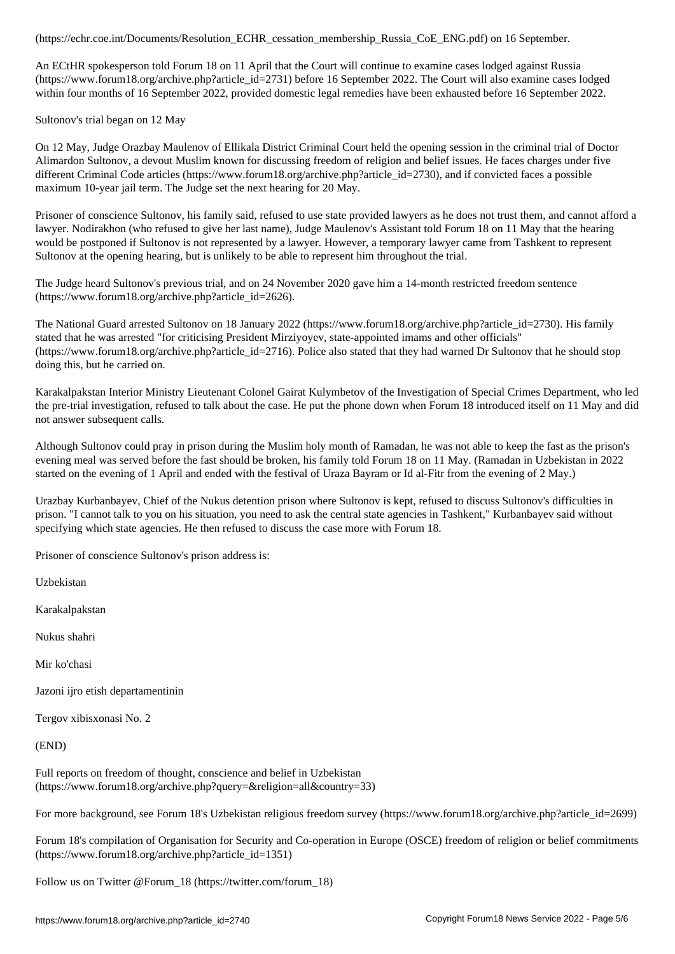An ECtHR spokesperson told Forum 18 on 11 April that the Court will continue to examine cases lodged against Russia (https://www.forum18.org/archive.php?article\_id=2731) before 16 September 2022. The Court will also examine cases lodged within four months of 16 September 2022, provided domestic legal remedies have been exhausted before 16 September 2022.

Sultonov's trial began on 12 May

On 12 May, Judge Orazbay Maulenov of Ellikala District Criminal Court held the opening session in the criminal trial of Doctor Alimardon Sultonov, a devout Muslim known for discussing freedom of religion and belief issues. He faces charges under five different Criminal Code articles (https://www.forum18.org/archive.php?article\_id=2730), and if convicted faces a possible maximum 10-year jail term. The Judge set the next hearing for 20 May.

Prisoner of conscience Sultonov, his family said, refused to use state provided lawyers as he does not trust them, and cannot afford a lawyer. Nodirakhon (who refused to give her last name), Judge Maulenov's Assistant told Forum 18 on 11 May that the hearing would be postponed if Sultonov is not represented by a lawyer. However, a temporary lawyer came from Tashkent to represent Sultonov at the opening hearing, but is unlikely to be able to represent him throughout the trial.

The Judge heard Sultonov's previous trial, and on 24 November 2020 gave him a 14-month restricted freedom sentence (https://www.forum18.org/archive.php?article\_id=2626).

The National Guard arrested Sultonov on 18 January 2022 (https://www.forum18.org/archive.php?article\_id=2730). His family stated that he was arrested "for criticising President Mirziyoyev, state-appointed imams and other officials" (https://www.forum18.org/archive.php?article\_id=2716). Police also stated that they had warned Dr Sultonov that he should stop doing this, but he carried on.

Karakalpakstan Interior Ministry Lieutenant Colonel Gairat Kulymbetov of the Investigation of Special Crimes Department, who led the pre-trial investigation, refused to talk about the case. He put the phone down when Forum 18 introduced itself on 11 May and did not answer subsequent calls.

Although Sultonov could pray in prison during the Muslim holy month of Ramadan, he was not able to keep the fast as the prison's evening meal was served before the fast should be broken, his family told Forum 18 on 11 May. (Ramadan in Uzbekistan in 2022 started on the evening of 1 April and ended with the festival of Uraza Bayram or Id al-Fitr from the evening of 2 May.)

Urazbay Kurbanbayev, Chief of the Nukus detention prison where Sultonov is kept, refused to discuss Sultonov's difficulties in prison. "I cannot talk to you on his situation, you need to ask the central state agencies in Tashkent," Kurbanbayev said without specifying which state agencies. He then refused to discuss the case more with Forum 18.

Prisoner of conscience Sultonov's prison address is:

Uzbekistan

Karakalpakstan

Nukus shahri

Mir ko'chasi

Jazoni ijro etish departamentinin

Tergov xibisxonasi No. 2

(END)

Full reports on freedom of thought, conscience and belief in Uzbekistan (https://www.forum18.org/archive.php?query=&religion=all&country=33)

For more background, see Forum 18's Uzbekistan religious freedom survey (https://www.forum18.org/archive.php?article\_id=2699)

Forum 18's compilation of Organisation for Security and Co-operation in Europe (OSCE) freedom of religion or belief commitments (https://www.forum18.org/archive.php?article\_id=1351)

Follow us on Twitter @Forum\_18 (https://twitter.com/forum\_18)